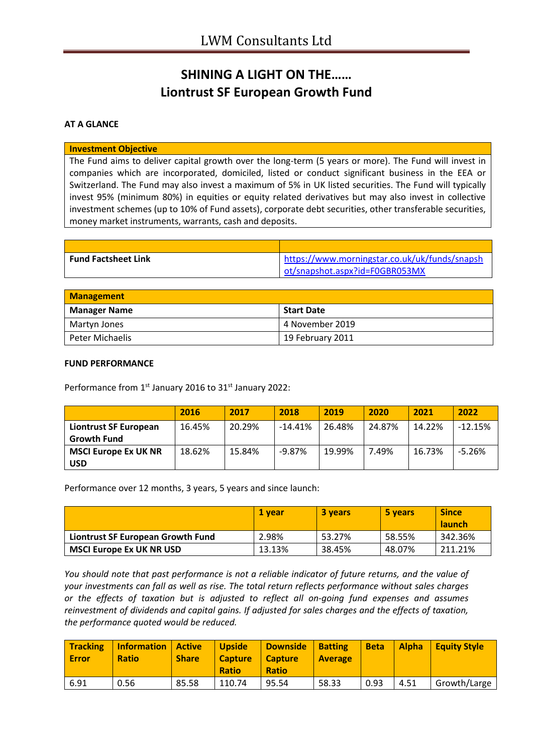# **SHINING A LIGHT ON THE…… Liontrust SF European Growth Fund**

### **AT A GLANCE**

#### **Investment Objective**

The Fund aims to deliver capital growth over the long-term (5 years or more). The Fund will invest in companies which are incorporated, domiciled, listed or conduct significant business in the EEA or Switzerland. The Fund may also invest a maximum of 5% in UK listed securities. The Fund will typically invest 95% (minimum 80%) in equities or equity related derivatives but may also invest in collective investment schemes (up to 10% of Fund assets), corporate debt securities, other transferable securities, money market instruments, warrants, cash and deposits.

| <b>Fund Factsheet Link</b> | https://www.morningstar.co.uk/uk/funds/snapsh |
|----------------------------|-----------------------------------------------|
|                            | ot/snapshot.aspx?id=F0GBR053MX                |

| <b>Management</b>   |                  |  |
|---------------------|------------------|--|
| <b>Manager Name</b> | Start Date       |  |
| Martyn Jones        | 4 November 2019  |  |
| Peter Michaelis     | 19 February 2011 |  |

#### **FUND PERFORMANCE**

Performance from 1<sup>st</sup> January 2016 to 31<sup>st</sup> January 2022:

|                             | 2016   | 2017   | 2018      | 2019   | 2020   | 2021   | 2022      |
|-----------------------------|--------|--------|-----------|--------|--------|--------|-----------|
| Liontrust SF European       | 16.45% | 20.29% | $-14.41%$ | 26.48% | 24.87% | 14.22% | $-12.15%$ |
| <b>Growth Fund</b>          |        |        |           |        |        |        |           |
| <b>MSCI Europe Ex UK NR</b> | 18.62% | 15.84% | $-9.87%$  | 19.99% | 7.49%  | 16.73% | $-5.26%$  |
| <b>USD</b>                  |        |        |           |        |        |        |           |

Performance over 12 months, 3 years, 5 years and since launch:

|                                   | 1 vear | 3 years | 5 years | <b>Since</b>  |
|-----------------------------------|--------|---------|---------|---------------|
|                                   |        |         |         | <b>launch</b> |
| Liontrust SF European Growth Fund | 2.98%  | 53.27%  | 58.55%  | 342.36%       |
| <b>MSCI Europe Ex UK NR USD</b>   | 13.13% | 38.45%  | 48.07%  | 211.21%       |

*You should note that past performance is not a reliable indicator of future returns, and the value of your investments can fall as well as rise. The total return reflects performance without sales charges or the effects of taxation but is adjusted to reflect all on-going fund expenses and assumes reinvestment of dividends and capital gains. If adjusted for sales charges and the effects of taxation, the performance quoted would be reduced.*

| <b>Tracking</b><br><b>Error</b> | <b>Information   Active</b><br><b>Ratio</b> | <b>Share</b> | <b>Upside</b><br><b>Capture</b><br><b>Ratio</b> | <b>Downside</b><br><b>Capture</b><br><b>Ratio</b> | <b>Batting</b><br><b>Average</b> | <b>Beta</b> | <b>Alpha</b> | <b>Equity Style</b> |
|---------------------------------|---------------------------------------------|--------------|-------------------------------------------------|---------------------------------------------------|----------------------------------|-------------|--------------|---------------------|
| 6.91                            | 0.56                                        | 85.58        | 110.74                                          | 95.54                                             | 58.33                            | 0.93        | 4.51         | Growth/Large        |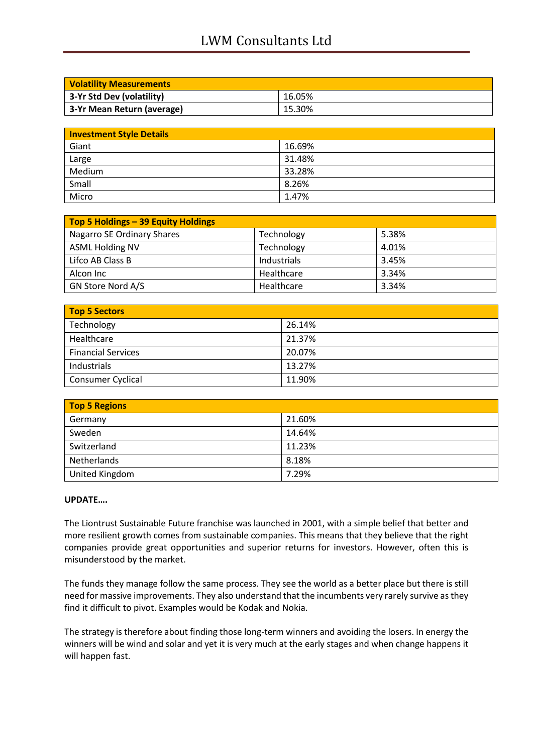## LWM Consultants Ltd

| <b>Volatility Measurements</b> |        |
|--------------------------------|--------|
| 3-Yr Std Dev (volatility)      | 16.05% |
| 3-Yr Mean Return (average)     | 15.30% |

| <b>Investment Style Details</b> |        |
|---------------------------------|--------|
| Giant                           | 16.69% |
| Large                           | 31.48% |
| Medium                          | 33.28% |
| Small                           | 8.26%  |
| Micro                           | 1.47%  |

| Top 5 Holdings - 39 Equity Holdings |             |       |
|-------------------------------------|-------------|-------|
| Nagarro SE Ordinary Shares          | Technology  | 5.38% |
| <b>ASML Holding NV</b>              | Technology  | 4.01% |
| Lifco AB Class B                    | Industrials | 3.45% |
| Alcon Inc                           | Healthcare  | 3.34% |
| GN Store Nord A/S                   | Healthcare  | 3.34% |

| <b>Top 5 Sectors</b>      |        |  |
|---------------------------|--------|--|
| Technology                | 26.14% |  |
| Healthcare                | 21.37% |  |
| <b>Financial Services</b> | 20.07% |  |
| Industrials               | 13.27% |  |
| <b>Consumer Cyclical</b>  | 11.90% |  |

| <b>Top 5 Regions</b> |        |  |
|----------------------|--------|--|
| Germany              | 21.60% |  |
| Sweden               | 14.64% |  |
| Switzerland          | 11.23% |  |
| Netherlands          | 8.18%  |  |
| United Kingdom       | 7.29%  |  |

#### **UPDATE….**

The Liontrust Sustainable Future franchise was launched in 2001, with a simple belief that better and more resilient growth comes from sustainable companies. This means that they believe that the right companies provide great opportunities and superior returns for investors. However, often this is misunderstood by the market.

The funds they manage follow the same process. They see the world as a better place but there is still need for massive improvements. They also understand that the incumbents very rarely survive as they find it difficult to pivot. Examples would be Kodak and Nokia.

The strategy is therefore about finding those long-term winners and avoiding the losers. In energy the winners will be wind and solar and yet it is very much at the early stages and when change happens it will happen fast.